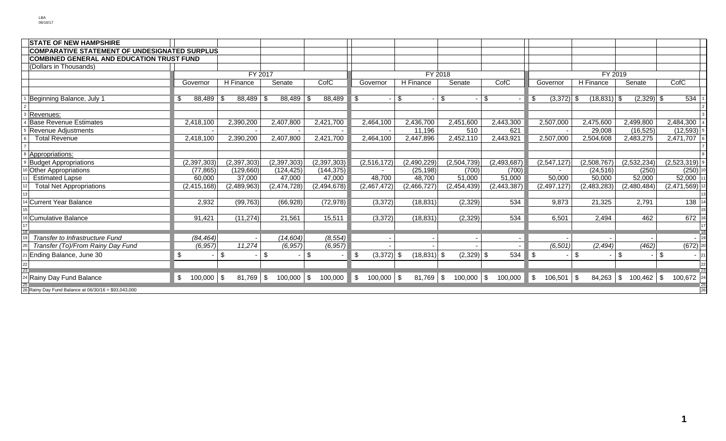| <b>STATE OF NEW HAMPSHIRE</b>                        |               |                   |                |               |                                |                |                         |               |                    |                |              |                      |  |  |
|------------------------------------------------------|---------------|-------------------|----------------|---------------|--------------------------------|----------------|-------------------------|---------------|--------------------|----------------|--------------|----------------------|--|--|
| <b>COMPARATIVE STATEMENT OF UNDESIGNATED SURPLUS</b> |               |                   |                |               |                                |                |                         |               |                    |                |              |                      |  |  |
| <b>COMBINED GENERAL AND EDUCATION TRUST FUND</b>     |               |                   |                |               |                                |                |                         |               |                    |                |              |                      |  |  |
| (Dollars in Thousands)                               |               |                   |                |               |                                |                |                         |               |                    |                |              |                      |  |  |
|                                                      |               | FY 2017           |                |               |                                | FY 2018        |                         |               |                    |                | FY 2019      |                      |  |  |
|                                                      | Governor      | H Finance         | Senate         | CofC          | Governor                       | H Finance      | Senate                  | CofC          | Governor           | H Finance      | Senate       | CofC                 |  |  |
|                                                      |               |                   |                |               |                                |                |                         |               |                    |                |              |                      |  |  |
| Beginning Balance, July 1                            | \$<br>88,489  | \$<br>88,489      | 88,489<br>l \$ | 88,489<br>-\$ | -\$                            | \$             | $\sqrt[6]{\frac{1}{2}}$ | $\sqrt[6]{2}$ | $(3,372)$ \$<br>\$ | $(18, 831)$ \$ | $(2,329)$ \$ | 534                  |  |  |
|                                                      |               |                   |                |               |                                |                |                         |               |                    |                |              |                      |  |  |
| Revenues:                                            |               |                   |                |               |                                |                |                         |               |                    |                |              |                      |  |  |
| <b>Base Revenue Estimates</b>                        | 2,418,100     | 2,390,200         | 2,407,800      | 2,421,700     | 2,464,100                      | 2,436,700      | 2.451.600               | 2,443,300     | 2,507,000          | 2,475,600      | 2,499,800    | 2,484,300            |  |  |
| Revenue Adjustments                                  |               |                   |                |               |                                | 11,196         | 510                     | 621           |                    | 29,008         | (16, 525)    | (12, 593)            |  |  |
| <b>Total Revenue</b>                                 | 2,418,100     | 2,390,200         | 2,407,800      | 2,421,700     | 2,464,100                      | 2,447,896      | 2,452,110               | 2,443,921     | 2,507,000          | 2,504,608      | 2,483,275    | 2,471,707 6          |  |  |
|                                                      |               |                   |                |               |                                |                |                         |               |                    |                |              |                      |  |  |
| Appropriations:                                      |               |                   |                |               |                                |                |                         |               |                    |                |              |                      |  |  |
| <b>Budget Appropriations</b>                         | (2, 397, 303) | (2, 397, 303)     | (2, 397, 303)  | (2,397,303)   | (2,516,172)                    | (2,490,229)    | (2,504,739)             | (2,493,687)   | (2,547,127)        | (2,508,767)    | (2,532,234)  | (2,523,319)          |  |  |
| <b>Other Appropriations</b>                          | (77, 865)     | (129, 660)        | (124, 425)     | (144, 375)    |                                | (25, 198)      | (700)                   | (700)         |                    | (24, 516)      | (250)        | $(250)$ <sup>1</sup> |  |  |
| <b>Estimated Lapse</b>                               | 60,000        | 37,000            | 47,000         | 47,000        | 48,700                         | 48,700         | 51,000                  | 51,000        | 50,000             | 50,000         | 52,000       | 52,000 1             |  |  |
| <b>Total Net Appropriations</b>                      | (2, 415, 168) | (2,489,963)       | (2,474,728)    | (2,494,678)   | (2,467,472)                    | (2,466,727)    | (2,454,439)             | (2, 443, 387) | (2, 497, 127)      | (2,483,283)    | (2,480,484)  | $(2,471,569)$ 12     |  |  |
|                                                      |               |                   |                |               |                                |                |                         |               |                    |                |              |                      |  |  |
| Current Year Balance                                 | 2,932         | (99, 763)         | (66, 928)      | (72, 978)     | (3, 372)                       | (18, 831)      | (2, 329)                | 534           | 9,873              | 21,325         | 2,791        | $138$ 14             |  |  |
|                                                      |               |                   |                |               |                                |                |                         |               |                    |                |              |                      |  |  |
| Cumulative Balance                                   | 91,421        | (11, 274)         | 21,561         | 15,511        | (3, 372)                       | (18, 831)      | (2,329)                 | 534           | 6,501              | 2,494          | 462          | 672 16               |  |  |
|                                                      |               |                   |                |               |                                |                |                         |               |                    |                |              |                      |  |  |
| Transfer to Infrastructure Fund                      | (84, 464)     |                   | (14, 604)      | (8, 554)      |                                |                |                         |               |                    |                |              | $\frac{18}{19}$      |  |  |
| Transfer (To)/From Rainy Day Fund                    | (6, 957)      | 11,274            | (6, 957)       | (6, 957)      |                                |                |                         |               | (6, 501)           | (2, 494)       | (462)        | $(672)$ 20           |  |  |
| Ending Balance, June 30                              | \$            | \$                | \$             | \$            | -\$<br>$(3,372)$ \$            | $(18, 831)$ \$ | $(2,329)$ \$            | 534           | \$                 | -\$            | \$           | \$<br>21             |  |  |
|                                                      |               |                   |                |               |                                |                |                         |               |                    |                |              |                      |  |  |
|                                                      |               |                   |                |               |                                |                |                         |               |                    |                |              |                      |  |  |
| 4 Rainy Day Fund Balance                             | 100,000<br>\$ | $81,769$ \$<br>\$ | $100,000$ \$   | 100,000       | $100,000$ \$<br>$\blacksquare$ | 81,769         | $100,000$ \$<br>\$      | 100,000       | \$<br>$106,501$ \$ | $84,263$ \$    | $100,462$ \$ | 100,672 24           |  |  |
| 26 Rainy Day Fund Balance at 06/30/16 = \$93,043,000 |               |                   |                |               |                                |                |                         |               |                    |                |              | 26                   |  |  |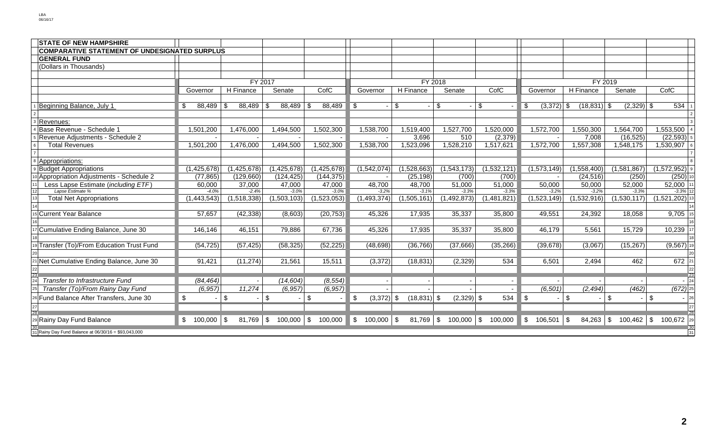| <b>STATE OF NEW HAMPSHIRE</b>                        |                           |                      |                            |               |                                |                |              |                |                    |                |                       |                       |  |  |
|------------------------------------------------------|---------------------------|----------------------|----------------------------|---------------|--------------------------------|----------------|--------------|----------------|--------------------|----------------|-----------------------|-----------------------|--|--|
| <b>COMPARATIVE STATEMENT OF UNDESIGNATED SURPLUS</b> |                           |                      |                            |               |                                |                |              |                |                    |                |                       |                       |  |  |
| <b>GENERAL FUND</b>                                  |                           |                      |                            |               |                                |                |              |                |                    |                |                       |                       |  |  |
| (Dollars in Thousands)                               |                           |                      |                            |               |                                |                |              |                |                    |                |                       |                       |  |  |
|                                                      |                           |                      |                            |               |                                |                |              |                |                    |                |                       |                       |  |  |
|                                                      |                           |                      | FY 2017                    |               |                                |                | FY 2018      |                | FY 2019            |                |                       |                       |  |  |
|                                                      | Governor                  | H Finance            | Senate                     | CofC          | Governor                       | $H$ Finance    | Senate       | CofC           | Governor           | H Finance      | Senate                | CofC                  |  |  |
|                                                      |                           |                      |                            |               |                                |                |              |                |                    |                |                       |                       |  |  |
| Beginning Balance, July 1                            | \$<br>88,489              | $88,489$ \ \$<br>\$. | 88,489                     | 88,489<br>-\$ | \$                             | \$             | \$           | $\mathfrak{L}$ | \$<br>$(3,372)$ \$ | $(18, 831)$ \$ | $(2,329)$ \$          | 534                   |  |  |
|                                                      |                           |                      |                            |               |                                |                |              |                |                    |                |                       |                       |  |  |
| Revenues:                                            |                           |                      |                            |               |                                |                |              |                |                    |                |                       |                       |  |  |
| Base Revenue - Schedule 1                            | 1,501,200                 | 1,476,000            | 1,494,500                  | 1,502,300     | 1,538,700                      | 1,519,400      | 1,527,700    | 1,520,000      | 1,572,700          | 1,550,300      | 1,564,700             | ,553,500              |  |  |
| Revenue Adjustments - Schedule 2                     |                           |                      |                            |               |                                | 3,696          | 510          | (2, 379)       |                    | 7,008          | (16, 525)             | (22, 593)             |  |  |
| <b>Total Revenues</b>                                | 1,501,200                 | 1,476,000            | 1,494,500                  | 1,502,300     | 1,538,700                      | 1,523,096      | 1,528,210    | 1,517,621      | 1,572,700          | 1,557,308      | 1,548,175             | 1,530,907             |  |  |
|                                                      |                           |                      |                            |               |                                |                |              |                |                    |                |                       |                       |  |  |
| 8 Appropriations:                                    |                           |                      |                            |               |                                |                |              |                |                    |                |                       |                       |  |  |
| <b>Budget Appropriations</b>                         | (1,425,678)               | (1, 425, 678)        | (1,425,678)                | (1,425,678)   | (1,542,074)                    | (1,528,663)    | (1,543,173)  | (1,532,121)    | (1,573,149)        | (1,558,400)    | (1,581,867)           | $(1,572,952)$ 9       |  |  |
| 10 Appropriation Adjustments - Schedule 2            | (77, 865)                 | (129,660)            | (124, 425)                 | (144, 375)    |                                | (25, 198)      | (700)        | (700)          |                    | (24, 516)      | (250)                 | $(250)$ 10            |  |  |
| Less Lapse Estimate (including ETF)                  | 60.000                    | 37,000               | 47,000                     | 47.000        | 48,700                         | 48,700         | 51.000       | 51,000         | 50,000             | 50,000         | 52,000                | 52,000                |  |  |
| Lapse Estimate %<br>12                               | $-4.0%$                   | $-2.4%$              | $-3.0%$                    | $-3.0%$       | $-3.2%$                        | $-3.1%$        | $-3.3%$      | $-3.3%$        | $-3.2%$            | $-3.2%$        | $-3.3%$               | $-3.3\%$ 12           |  |  |
| <b>Total Net Appropriations</b>                      | (1,443,543)               | (1,518,338)          | (1,503,103)                | (1,523,053)   | (1,493,374)                    | (1,505,161)    | (1,492,873)  | (1,481,821)    | (1,523,149)        | (1,532,916)    | (1,530,117)           | (1,521,202)           |  |  |
|                                                      |                           |                      |                            |               |                                |                |              |                |                    |                |                       |                       |  |  |
| <sup>5</sup> Current Year Balance                    | 57,657                    | (42, 338)            | (8,603)                    | (20, 753)     | 45,326                         | 17,935         | 35,337       | 35,800         | 49,551             | 24,392         | 18,058                | 9,705 15              |  |  |
|                                                      |                           |                      |                            |               |                                |                |              |                |                    |                |                       |                       |  |  |
| Cumulative Ending Balance, June 30                   | 146,146                   | 46,151               | 79,886                     | 67,736        | 45,326                         | 17,935         | 35,337       | 35,800         | 46,179             | 5,561          | 15,729                | 10,239                |  |  |
|                                                      |                           |                      |                            |               |                                |                |              |                |                    |                |                       |                       |  |  |
| 19 Transfer (To)/From Education Trust Fund           | (54, 725)                 | (57, 425)            | (58, 325)                  | (52, 225)     | (48, 698)                      | (36, 766)      | (37,666)     | (35, 266)      | (39, 678)          | (3,067)        | (15, 267)             | $(9,567)$ 19          |  |  |
|                                                      |                           |                      |                            |               |                                |                |              |                |                    |                |                       |                       |  |  |
| 21 Net Cumulative Ending Balance, June 30            | 91,421                    | (11, 274)            | 21,561                     | 15,511        | (3, 372)                       | (18, 831)      | (2, 329)     | 534            | 6,501              | 2,494          | 462                   | $672$ 21              |  |  |
| $\overline{23}$                                      |                           |                      |                            |               |                                |                |              |                |                    |                |                       | 22                    |  |  |
| Transfer to Infrastructure Fund                      | (84, 464)                 |                      | (14, 604)                  | (8, 554)      |                                |                |              |                |                    |                |                       | 23<br>$- 24$          |  |  |
| Transfer (To)/From Rainy Day Fund                    | (6, 957)                  | 11,274               | (6, 957)                   | (6, 957)      |                                |                |              |                | (6, 501)           | (2, 494)       | (462)                 | $(672)$ <sub>25</sub> |  |  |
| 26 Fund Balance After Transfers, June 30             | $\boldsymbol{\mathsf{S}}$ | \$                   | $\sqrt[6]{3}$              | \$            | $(3,372)$ \$<br>\$             | $(18, 831)$ \$ | $(2,329)$ \$ | 534            | \$<br>$\sim$       | \$             | \$                    | \$<br>$- 26$          |  |  |
|                                                      |                           |                      |                            |               |                                |                |              |                |                    |                |                       | 27                    |  |  |
|                                                      |                           |                      |                            |               |                                |                |              |                |                    |                |                       | 28                    |  |  |
| 29 Rainy Day Fund Balance                            | $$100,000$ \ \$           | 81,769               | $\sqrt{3}$<br>$100,000$ \$ | 100,000       | $\blacksquare$<br>$100,000$ \$ | $81,769$ \$    | $100,000$ \$ | 100,000        | \$<br>106,501      | \$<br>84,263   | $\sqrt{3}$<br>100,462 | \$<br>$100,672$ 29    |  |  |
| 31 Rainy Day Fund Balance at 06/30/16 = \$93,043,000 |                           |                      |                            |               |                                |                |              |                |                    |                |                       | 31                    |  |  |
|                                                      |                           |                      |                            |               |                                |                |              |                |                    |                |                       |                       |  |  |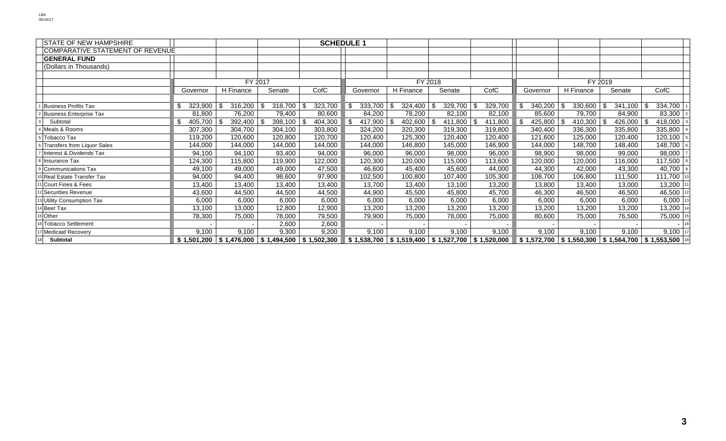| <b>STATE OF NEW HAMPSHIRE</b>    |             |                           |         | <b>SCHEDULE 1</b> |  |                           |                |  |                           |      |         |         |             |             |       |             |  |                        |
|----------------------------------|-------------|---------------------------|---------|-------------------|--|---------------------------|----------------|--|---------------------------|------|---------|---------|-------------|-------------|-------|-------------|--|------------------------|
| COMPARATIVE STATEMENT OF REVENUE |             |                           |         |                   |  |                           |                |  |                           |      |         |         |             |             |       |             |  |                        |
| <b>GENERAL FUND</b>              |             |                           |         |                   |  |                           |                |  |                           |      |         |         |             |             |       |             |  |                        |
| (Dollars in Thousands)           |             |                           |         |                   |  |                           |                |  |                           |      |         |         |             |             |       |             |  |                        |
|                                  |             |                           |         |                   |  |                           |                |  |                           |      |         |         |             |             |       |             |  |                        |
|                                  |             | FY 2017                   |         |                   |  |                           | FY 2018        |  |                           |      |         | FY 2019 |             |             |       |             |  |                        |
|                                  | Governor    | H Finance                 | Senate  | CofC              |  | Governor                  | H Finance      |  | Senate                    | CofC |         |         | Governor    | H Finance   |       | Senate      |  | CofC                   |
|                                  |             |                           |         |                   |  |                           |                |  |                           |      |         |         |             |             |       |             |  |                        |
| <b>Business Profits Tax</b>      | 323,900     | 316,200                   | 318,700 | 323,700           |  | 333,700                   | 324,400<br>-\$ |  | 329,700                   |      | 329,700 | \$      | 340,200     | 330,600     |       | 341,100     |  | 334,700                |
| <b>Business Enterprise Tax</b>   | 81,800      | 76,200                    | 79,400  | 80,600            |  | 84,200                    | 78,200         |  | 82,100                    |      | 82,100  |         | 85,600      | 79,700      |       | 84,900      |  | 83,300                 |
| Subtotal                         | 405,700     | 392,400                   | 398,100 | 404,300           |  | 417,900                   | 402,600<br>-96 |  | 411,800                   |      | 411,800 | \$      | 425,800     | 410,300     |       | 426,000     |  | 418,000                |
| Meals & Rooms                    | 307,300     | 304,700                   | 304,100 | 303,800           |  | 324,200                   | 320,300        |  | 319,300                   |      | 319,800 |         | 340,400     | 336,300     |       | 335,800     |  | 335,800                |
| Tobacco Tax                      | 119,200     | 120,600                   | 120,800 | 120,700           |  | 120,400                   | 125,300        |  | 120,400                   |      | 120,400 |         | 121,600     | 125,000     |       | 120,400     |  | 120,100                |
| 6 Transfers from Liquor Sales    | 144,000     | 144,000                   | 144,000 | 144,000           |  | 144,000                   | 146,800        |  | 145,000                   |      | 146,900 |         | 144,000     | 148,700     |       | 148,400     |  | 148,700                |
| Interest & Dividends Tax         | 94,100      | 94,100                    | 93,400  | 94,000            |  | 96,000                    | 96,000         |  | 98,000                    |      | 96,000  |         | 98,900      | 98,000      |       | 99,000      |  | 98,000                 |
| <b>Insurance Tax</b>             | 124,300     | 115,800                   | 119,900 | 122,000           |  | 120,300                   | 120,000        |  | 115,000                   |      | 113,600 |         | 120,000     | 120,000     |       | 116,000     |  | 117,500                |
| Communications Tax               | 49,100      | 49,000                    | 49,000  | 47,500            |  | 46,600                    | 45,400         |  | 45,600                    |      | 44,000  |         | 44,300      | 42,000      |       | 43,300      |  | 40,700   $\frac{1}{2}$ |
| <b>Real Estate Transfer Tax</b>  | 94,000      | 94,400                    | 98,600  | 97,900            |  | 102,500                   | 100,800        |  | 107,400                   |      | 105,300 |         | 108,700     | 106,800     |       | 111,500     |  | 111,700 1              |
| Court Fines & Fees               | 13,400      | 13,400                    | 13,400  | 13,400            |  | 13,700                    | 13,400         |  | 13,100                    |      | 13,200  |         | 13,800      | 13,400      |       | 13,000      |  | 13,200 1               |
| <sup>2</sup> Securities Revenue  | 43,600      | 44,500                    | 44,500  | 44,500            |  | 44,900                    | 45,500         |  | 45,800                    |      | 45,700  |         | 46,300      | 46,500      |       | 46,500      |  | 46,500 1               |
| Utility Consumption Tax          | 6,000       | 6,000                     | 6,000   | 6,000             |  | 6,000                     | 6,000          |  | 6,000                     |      | 6,000   |         | 6,000       |             | 6,000 | 6,000       |  | $6,000$ 1              |
| <sup>4</sup> Beer Tax            | 13,100      | 13,000                    | 12,800  | 12,900            |  | 13,200                    | 13,200         |  | 13,200                    |      | 13,200  |         | 13,200      | 13,200      |       | 13,200      |  | 13,200 1               |
| 5 Other                          | 78,300      | 75,000                    | 78,000  | 79,500            |  | 79,900                    | 75,000         |  | 78,000                    |      | 75,000  |         | 80,600      | 75,000      |       | 76,500      |  | 75,000 1               |
| 16 Tobacco Settlement            |             |                           | 2,600   | 2,600             |  |                           |                |  |                           |      |         |         |             |             |       |             |  | $-16$                  |
| <b>Medicaid Recovery</b>         | 9,100       | 9,100                     | 9,300   | 9,200             |  | 9,100                     | 9,100          |  | 9,100                     |      | 9,100   |         | 9,100       |             | 9,100 | 9,100       |  | $9,100$ 1              |
| Subtotal                         | \$1,501,200 | $$1,476,000$ $$1,494,500$ |         | \$1,502,300       |  | $$1,538,700$ $$1,519,400$ |                |  | $$1,527,700$ $$1,520,000$ |      |         |         | \$1,572,700 | \$1,550,300 |       | \$1,564,700 |  | \$1,553,500 18         |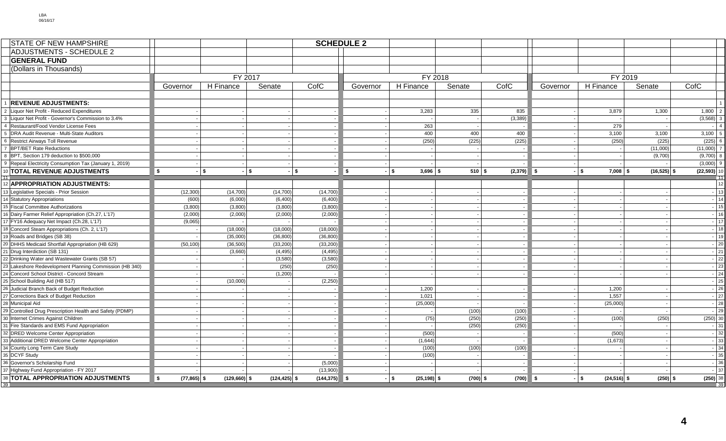| <b>STATE OF NEW HAMPSHIRE</b>                                                           |                      |                    |                 |                  | <b>SCHEDULE 2</b> |                        |            |          |          |                        |                |                      |
|-----------------------------------------------------------------------------------------|----------------------|--------------------|-----------------|------------------|-------------------|------------------------|------------|----------|----------|------------------------|----------------|----------------------|
| <b>ADJUSTMENTS - SCHEDULE 2</b>                                                         |                      |                    |                 |                  |                   |                        |            |          |          |                        |                |                      |
| <b>GENERAL FUND</b>                                                                     |                      |                    |                 |                  |                   |                        |            |          |          |                        |                |                      |
| (Dollars in Thousands)                                                                  |                      |                    |                 |                  |                   |                        |            |          |          |                        |                |                      |
|                                                                                         |                      | FY 2017            |                 |                  |                   | FY 2018                |            |          |          | FY 2019                |                |                      |
|                                                                                         | Governor             | H Finance          | Senate          | CofC             | Governor          | H Finance              | Senate     | CofC     | Governor | H Finance              | Senate         | CofC                 |
|                                                                                         |                      |                    |                 |                  |                   |                        |            |          |          |                        |                |                      |
| <b>REVENUE ADJUSTMENTS:</b>                                                             |                      |                    |                 |                  |                   |                        |            |          |          |                        |                |                      |
| 2 Liquor Net Profit - Reduced Expenditures                                              |                      |                    |                 |                  |                   | 3,283                  | 335        | 835      |          | 3,879                  | 1,300          | 1,800                |
| 3 Liquor Net Profit - Governor's Commission to 3.4%                                     |                      |                    |                 |                  |                   |                        |            | (3, 389) |          |                        |                | (3,568)              |
| 4 Restaurant/Food Vendor License Fees                                                   |                      |                    |                 |                  |                   | 263                    |            |          |          | 279                    |                |                      |
| DRA Audit Revenue - Multi-State Auditors<br>5                                           |                      |                    |                 | $\sim$           |                   | 400                    | 400        | 400      |          | 3,100                  | 3,100          | 3,100                |
| 6 Restrict Airways Toll Revenue                                                         |                      |                    |                 |                  |                   | (250)                  | (225)      | (225)    |          | (250)                  | (225)          | (225)                |
| 7 BPT/BET Rate Reductions                                                               |                      |                    |                 |                  |                   |                        |            |          |          |                        | (11,000)       | (11,000)             |
| 8 BPT, Section 179 deduction to \$500,000                                               |                      |                    |                 | $\sim$           |                   |                        |            |          |          |                        | (9,700)        | (9,700)              |
| 9 Repeal Electricity Consumption Tax (January 1, 2019)                                  |                      |                    |                 |                  |                   |                        |            |          |          |                        |                | (3,000)              |
| 10 TOTAL REVENUE ADJUSTMENTS                                                            | \$                   | $-1$ \$<br>$-1$ \$ | -   \$          |                  | $\sqrt{2}$        | $-5$<br>$3,696$ \$     | $510$ \$   | (2,379)  | ∥\$      | $-1$ \$<br>$7,008$ \$  | $(16, 525)$ \$ | (22, 593)            |
|                                                                                         |                      |                    |                 |                  |                   |                        |            |          |          |                        |                |                      |
| 12 APPROPRIATION ADJUSTMENTS:                                                           |                      |                    |                 |                  |                   |                        |            |          |          |                        |                | 12                   |
| 13 Legislative Specials - Prior Session                                                 | (12, 300)            | (14,700)           | (14,700)        | (14, 700)        |                   |                        |            |          |          |                        |                | $-13$                |
| 14 Statutory Appropriations                                                             | (600)                | (6,000)            | (6,400)         | (6,400)          |                   |                        |            |          |          |                        |                | 14                   |
| 15 Fiscal Committee Authorizations                                                      | (3,800)              | (3,800)            | (3,800)         | (3,800)          |                   |                        |            |          |          |                        |                | 15                   |
| 16 Dairy Farmer Relief Appropriation (Ch.27, L'17)                                      | (2,000)              | (2,000)            | (2,000)         | (2,000)          |                   |                        |            |          |          |                        |                | 16                   |
| 17 FY16 Adequacy Net Impact (Ch.28, L'17)                                               | (9,065)              |                    |                 |                  |                   |                        |            |          |          |                        |                | 17                   |
| 18 Concord Steam Appropriations (Ch. 2, L'17)                                           |                      | (18,000)           | (18,000)        | (18,000)         |                   |                        |            |          |          |                        |                | 18                   |
| 19 Roads and Bridges (SB 38)                                                            |                      | (35,000)           | (36, 800)       | (36, 800)        |                   |                        |            |          |          |                        |                | 19                   |
| 20 DHHS Medicaid Shortfall Appropriation (HB 629)                                       | (50, 100)            | (36,500)           | (33, 200)       | (33, 200)        |                   |                        |            |          |          |                        |                | 20                   |
| 21 Drug Interdiction (SB 131)                                                           |                      | (3,660)            | (4, 495)        | (4, 495)         |                   |                        |            |          |          |                        |                | 21                   |
| 22 Drinking Water and Wastewater Grants (SB 57)                                         |                      |                    | (3,580)         | (3,580)          |                   |                        |            |          |          |                        |                | 22                   |
| 23 Lakeshore Redevelopment Planning Commission (HB 340)                                 |                      |                    | (250)           | (250)            |                   |                        |            |          |          |                        |                | 23                   |
| 24 Concord School District - Concord Stream                                             |                      |                    | (1,200)         |                  |                   |                        |            |          |          |                        |                | $-24$                |
| 25 School Building Aid (HB 517)                                                         |                      | (10,000)           |                 | (2,250)          |                   |                        |            |          |          |                        |                | $-25$                |
| 26 Judicial Branch Back of Budget Reduction                                             |                      |                    |                 |                  |                   | 1,200                  |            |          |          | 1,200                  |                | 26                   |
| 27 Corrections Back of Budget Reduction                                                 |                      |                    |                 | $\sim$           |                   | 1,021                  |            |          |          | 1,557                  |                | $-27$<br>28          |
| 28 Municipal Aid                                                                        |                      |                    |                 | $\sim$           |                   | (25,000)               |            |          |          | (25,000)               |                | $-29$                |
| 29 Controlled Drug Prescription Health and Safety (PDMP)                                |                      |                    |                 | $\sim$           |                   |                        | (100)      | (100)    |          |                        |                |                      |
| 30 Internet Crimes Against Children                                                     |                      |                    |                 | $\sim$           |                   | (75)                   | (250)      | (250)    |          | (100)                  | (250)          | $(250)$ 30<br>$-131$ |
| 31 Fire Standards and EMS Fund Appropriation                                            |                      |                    |                 |                  |                   |                        | (250)      | (250)    |          |                        |                | 32                   |
| 32 DRED Welcome Center Appropriation<br>33 Additional DRED Welcome Center Appropriation |                      |                    |                 | $\sim$<br>$\sim$ |                   | (500)<br>(1,644)       |            |          |          | (500)<br>(1,673)       |                | 33                   |
| 34 County Long Term Care Study                                                          |                      |                    |                 | $\sim$           |                   | (100)                  | (100)      | (100)    |          |                        |                | $\overline{34}$      |
| 35 DCYF Study                                                                           |                      |                    |                 |                  |                   | (100)                  |            |          |          |                        |                | 35                   |
| 36 Governor's Scholarship Fund                                                          |                      |                    |                 | (5,000)          |                   | $\sim$                 |            |          |          |                        |                | $-36$                |
| 37 Highway Fund Appropriation - FY 2017                                                 |                      |                    |                 | (13,900)         |                   |                        |            |          |          |                        |                | $-137$               |
| 38 TOTAL APPROPRIATION ADJUSTMENTS                                                      | \$<br>$(77, 865)$ \$ | $(129,660)$ \$     | $(124, 425)$ \$ | (144, 375)       | ∎s                | - SI<br>$(25, 198)$ \$ | $(700)$ \$ | (700)    | l S      | $(24, 516)$ \$<br>l \$ | $(250)$ \$     | $(250)$ 38           |
|                                                                                         |                      |                    |                 |                  |                   |                        |            |          |          |                        |                | $\overline{39}$      |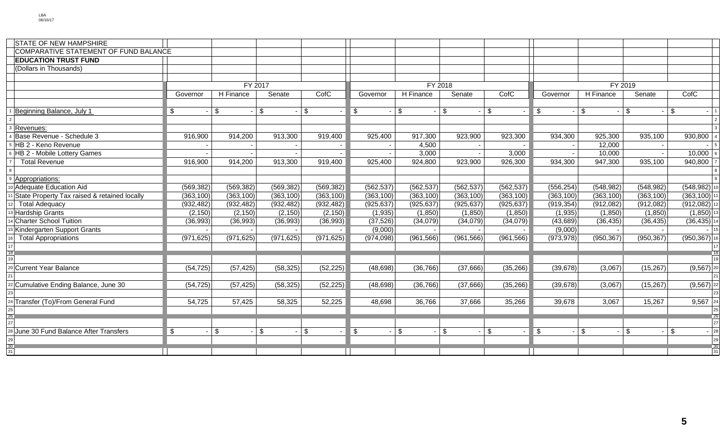| <b>STATE OF NEW HAMPSHIRE</b>                |                         |                |               |            |              |            |                      |            |               |                           |               |                           |    |
|----------------------------------------------|-------------------------|----------------|---------------|------------|--------------|------------|----------------------|------------|---------------|---------------------------|---------------|---------------------------|----|
| COMPARATIVE STATEMENT OF FUND BALANCE        |                         |                |               |            |              |            |                      |            |               |                           |               |                           |    |
| <b>EDUCATION TRUST FUND</b>                  |                         |                |               |            |              |            |                      |            |               |                           |               |                           |    |
| (Dollars in Thousands)                       |                         |                |               |            |              |            |                      |            |               |                           |               |                           |    |
|                                              |                         |                |               |            |              |            |                      | FY 2019    |               |                           |               |                           |    |
|                                              |                         |                | FY 2017       |            |              | FY 2018    |                      |            |               |                           |               |                           |    |
|                                              | Governor                | H Finance      | Senate        | CofC       | Governor     | H Finance  | Senate               | CofC       | Governor      | H Finance                 | Senate        | CofC                      |    |
|                                              |                         |                |               |            |              |            |                      |            |               |                           |               |                           |    |
| Beginning Balance, July 1                    | $\sqrt[6]{2}$           | $\mathbf{s}$   | $\mathfrak s$ | \$         | \$           | \$         | $$^{\circ}$<br>\$    |            | \$            | $\boldsymbol{\mathsf{s}}$ | \$<br>$\sim$  | <b>S</b>                  |    |
|                                              |                         |                |               |            |              |            |                      |            |               |                           |               |                           |    |
| Revenues:                                    |                         |                |               |            |              |            |                      |            |               |                           |               |                           |    |
| Base Revenue - Schedule 3                    | 916,900                 | 914,200        | 913,300       | 919,400    | 925,400      | 917,300    | 923,900              | 923,300    | 934,300       | 925,300                   | 935,100       | 930,800                   |    |
| HB 2 - Keno Revenue                          |                         |                |               |            |              | 4,500      |                      |            |               | 12,000                    |               |                           |    |
| HB 2 - Mobile Lottery Games                  |                         |                |               |            |              | 3,000      |                      | 3,000      |               | 10,000                    |               | 10,000                    |    |
| <b>Total Revenue</b>                         | 916,900                 | 914,200        | 913,300       | 919,400    | 925,400      | 924,800    | 923,900              | 926,300    | 934,300       | 947,300                   | 935,100       | 940,800                   |    |
|                                              |                         |                |               |            |              |            |                      |            |               |                           |               |                           |    |
| Appropriations:                              |                         |                |               |            |              |            |                      |            |               |                           |               |                           |    |
| Adequate Education Aid                       | (569, 382)              | (569, 382)     | (569, 382)    | (569, 382) | (562, 537)   | (562, 537) | (562, 537)           | (562, 537) | (556, 254)    | (548, 982)                | (548, 982)    | (548, 982)                |    |
| State Property Tax raised & retained locally | (363, 100)              | (363, 100)     | (363, 100)    | (363, 100) | (363, 100)   | (363, 100) | (363, 100)           | (363, 100) | (363, 100)    | (363, 100)                | (363, 100)    | $(363, 100)$ 1            |    |
| <b>Total Adequacy</b>                        | (932, 482)              | (932, 482)     | (932, 482)    | (932, 482) | (925, 637)   | (925, 637) | (925, 637)           | (925, 637) | (919, 354)    | (912,082)                 | (912,082)     | $(912,082)$ 12            |    |
| <b>Hardship Grants</b>                       | (2, 150)                | (2, 150)       | (2, 150)      | (2, 150)   | (1,935)      | (1,850)    | (1,850)              | (1, 850)   | (1,935)       | (1,850)                   | (1, 850)      | $(1,850)$ 13              |    |
| <b>Charter School Tuition</b>                | (36,993)                | (36,993)       | (36,993)      | (36,993)   | (37, 526)    | (34,079)   | (34,079)             | (34,079)   | (43, 689)     | (36, 435)                 | (36, 435)     | $(36, 435)$ 14            |    |
| Kindergarten Support Grants                  |                         |                |               |            | (9,000)      |            |                      |            | (9,000)       |                           |               |                           | 15 |
| <b>Total Appropriations</b>                  | (971, 625)              | (971, 625)     | (971, 625)    | (971, 625) | (974, 098)   | (961, 566) | (961, 566)           | (961, 566) | (973, 978)    | (950, 367)                | (950, 367)    | $(950, 367)$ 16           |    |
|                                              |                         |                |               |            |              |            |                      |            |               |                           |               |                           |    |
|                                              |                         |                |               |            |              |            |                      |            |               |                           |               |                           |    |
| Current Year Balance                         | (54, 725)               | (57, 425)      | (58, 325)     | (52, 225)  | (48, 698)    | (36, 766)  | (37,666)             | (35, 266)  | (39, 678)     | (3,067)                   | (15, 267)     | $(9,567)$ 20              |    |
|                                              |                         |                |               |            |              |            |                      |            |               |                           |               |                           |    |
| Cumulative Ending Balance, June 30           | (54, 725)               | (57, 425)      | (58, 325)     | (52, 225)  | (48, 698)    | (36, 766)  | (37,666)             | (35, 266)  | (39, 678)     | (3,067)                   | (15, 267)     | $(9, 567)$ 22             |    |
|                                              |                         |                |               |            |              |            |                      |            |               |                           |               |                           |    |
| Transfer (To)/From General Fund              | 54,725                  | 57,425         | 58,325        | 52,225     | 48,698       | 36,766     | 37,666               | 35,266     | 39,678        | 3,067                     | 15,267        | $9,567$ 24                |    |
|                                              |                         |                |               |            |              |            |                      |            |               |                           |               |                           |    |
|                                              |                         |                |               |            |              |            |                      |            |               |                           |               |                           |    |
|                                              |                         |                |               |            |              |            |                      |            |               |                           |               |                           | 27 |
| June 30 Fund Balance After Transfers         | $\sqrt[6]{\frac{1}{2}}$ | $\mathfrak{S}$ | $\sqrt[6]{3}$ | \$         | $\mathbb{S}$ | \$         | $\mathfrak{S}$<br>\$ |            | $\mathfrak s$ | $\mathfrak{S}$            | $\mathfrak s$ | $\boldsymbol{\mathsf{S}}$ | 28 |
|                                              |                         |                |               |            |              |            |                      |            |               |                           |               |                           | 2s |
| 31                                           |                         |                |               |            |              |            |                      |            |               |                           |               |                           | 31 |